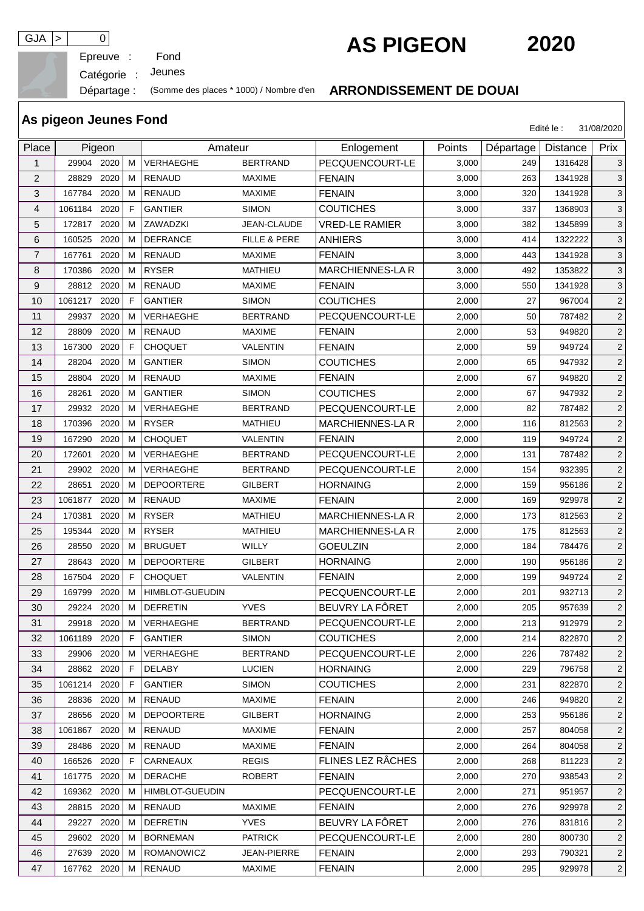

Epreuve :

Catégorie : Jeunes

## Départage : (Somme des places \* 1000) / Nombre d'en **ARRONDISSEMENT DE DOUAI**

## Place Pigeon | Amateur | Enlogement | Points Départage Distance Prix 1 29904 2020 M VERHAEGHE BERTRAND PECQUENCOURT-LE 3,000 249 1316428 3 2 28829 2020 M RENAUD MAXIME FENAIN 3,000 263 1341928 3 3 | 167784 2020 | M | RENAUD MAXIME | FENAIN 3,000 | 320 | 1341928 | 3 4 | 1061184 2020 | F | GANTIER SIMON | COUTICHES | 3,000 | 337 | 1368903 | 3 5 172817 2020 M ZAWADZKI JEAN-CLAUDE VRED-LE RAMIER 3,000 382 1345899 3 6 | 160525 2020 | M | DEFRANCE FILLE & PERE | ANHIERS 3,000 | 414 | 1322222 | 3 7 167761 2020 M RENAUD MAXIME FENAIN 3,000 443 1341928 3 8 170386 2020 M RYSER MATHIEU MARCHIENNES-LA R 3,000 492 1353822 3 9 28812 2020 M RENAUD MAXIME FENAIN 3,000 550 1341928 3 10 1061217 2020 F GANTIER SIMON COUTICHES 2,000 27 967004 2 11 29937 2020 M VERHAEGHE BERTRAND PECQUENCOURT-LE 2.000 50 787482 2 12 28809 2020 M RENAUD MAXIME FENAIN 2,000 53 949820 2 13 167300 2020 F CHOQUET VALENTIN FENAIN 2,000 59 949724 2 14 28204 2020 M GANTIER SIMON COUTICHES 2,000 65 947932 2 15 28804 2020 M RENAUD MAXIME FENAIN 2,000 67 949820 2 16 28261 2020 M GANTIER SIMON COUTICHES 2,000 67 947932 2 17 29932 2020 M VERHAEGHE BERTRAND PECQUENCOURT-LE 2,000 82 787482 2 18 170396 2020 M RYSER MATHIEU MARCHIENNES-LA R 2,000 116 812563 2 19 167290 2020 M CHOQUET VALENTIN FENAIN 2,000 119 949724 2 20 172601 2020 M VERHAEGHE BERTRAND PECQUENCOURT-LE 2,000 131 787482 2 21 29902 2020 M VERHAEGHE BERTRAND PECQUENCOURT-LE 2,000 154 932395 2 22 28651 2020 M DEPOORTERE GILBERT HORNAING 2,000 159 956186 2 23 |1061877 2020||M||RENAUD MAXIME |FENAIN 2,000 | 169 | 929978 | 2 24 170381 2020 M RYSER MATHIEU MARCHIENNES-LA R 2,000 173 812563 2 25 | 195344 2020 | M RYSER MATHIEU | MARCHIENNES-LA R | 2,000 | 175 | 812563 | 2 26 28550 2020 M BRUGUET WILLY GOEULZIN 2,000 184 784476 2 27 | 28643 2020 | M | DEPOORTERE GILBERT HORNAING 2,000 | 190 | 956186 | 2 28 | 167504 2020 | F | CHOQUET VALENTIN | FENAIN 2,000 | 199 | 949724 | 2 29 | 169799 2020 | M | HIMBLOT-GUEUDIN | PECQUENCOURT-LE | 2,000 | 201 | 932713 | 2 30 29224 2020 M DEFRETIN YVES BEUVRY LA FÔRET 2,000 205 957639 2 31 29918 2020 M VERHAEGHE BERTRAND PECQUENCOURT-LE 2,000 213 912979 2 32 |1061189 2020 F |GANTIER SIMON | COUTICHES 2,000 | 214 | 822870 | 2 33 29906 2020 M VERHAEGHE BERTRAND PECQUENCOURT-LE 2,000 226 787482 2 34 28862 2020 F DELABY LUCIEN HORNAING 2,000 229 796758 2 35 |1061214 2020 F |GANTIER SIMON | COUTICHES 2,000 | 231 | 822870 | 2 36 28836 2020 M RENAUD MAXIME FENAIN 2,000 246 949820 2 37 | 28656 2020 | M | DEPOORTERE GILBERT HORNAING 2,000 | 253 | 956186 | 2 38 1061867 2020 M RENAUD MAXIME FENAIN 2,000 257 804058 2 39 28486 2020 M RENAUD MAXIME FENAIN 2,000 264 804058 2 40 | 166526 2020 F CARNEAUX REGIS | FLINES LEZ RÂCHES | 2,000 | 268 811223 | 2 41 | 161775 2020 | M | DERACHE ROBERT | FENAIN 2,000 | 270 | 938543 | 2 42 169362 2020 M HIMBLOT-GUEUDIN PECQUENCOURT-LE 2,000 271 951957 2 43 28815 2020 M RENAUD MAXIME FENAIN 2,000 276 929978 2 44 29227 2020 M DEFRETIN YVES BEUVRY LA FÔRET 2,000 276 831816 2 45 29602 2020 M BORNEMAN PATRICK PECQUENCOURT-LE 2,000 280 800730 2 46 27639 2020 M ROMANOWICZ JEAN-PIERRE FENAIN 2,000 293 790321 2 47 167762 2020 M RENAUD MAXIME FENAIN 2,000 295 929978 2

**As pigeon Jeunes Fond**

GJA <sup>&</sup>gt; <sup>0</sup> **AS PIGEON 2020**

Edité le : 31/08/2020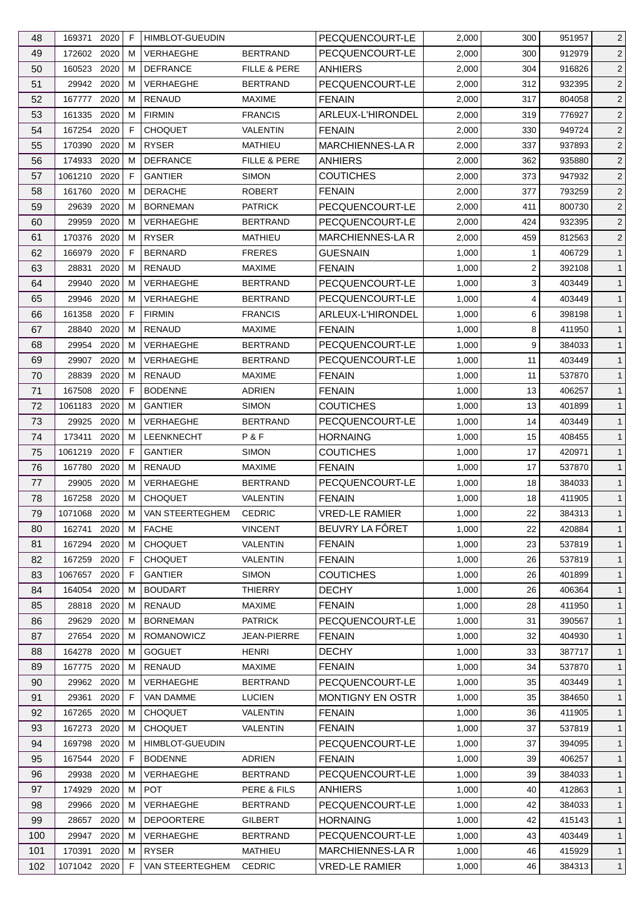| 48  | 169371       | 2020 | F  | <b>HIMBLOT-GUEUDIN</b> |                         | PECQUENCOURT-LE                  | 2,000 | 300 | 951957 | $\overline{2}$               |
|-----|--------------|------|----|------------------------|-------------------------|----------------------------------|-------|-----|--------|------------------------------|
| 49  | 172602 2020  |      | м  | <b>VERHAEGHE</b>       | <b>BERTRAND</b>         | PECQUENCOURT-LE                  | 2,000 | 300 | 912979 | $\overline{c}$               |
| 50  | 160523       | 2020 | м  | <b>DEFRANCE</b>        | <b>FILLE &amp; PERE</b> | <b>ANHIERS</b>                   | 2,000 | 304 | 916826 | $\overline{2}$               |
| 51  | 29942 2020   |      | м  | VERHAEGHE              | <b>BERTRAND</b>         | PECQUENCOURT-LE                  | 2,000 | 312 | 932395 | $\overline{2}$               |
| 52  | 167777       | 2020 | м  | <b>RENAUD</b>          | <b>MAXIME</b>           | <b>FENAIN</b>                    | 2,000 | 317 | 804058 | $\overline{2}$               |
| 53  | 161335       | 2020 | м  | <b>FIRMIN</b>          | <b>FRANCIS</b>          | ARLEUX-L'HIRONDEL                | 2,000 | 319 | 776927 | $\overline{c}$               |
| 54  | 167254       | 2020 | F  | <b>CHOQUET</b>         | VALENTIN                | <b>FENAIN</b>                    | 2,000 | 330 | 949724 | $\overline{2}$               |
| 55  | 170390       | 2020 | м  | <b>RYSER</b>           | <b>MATHIEU</b>          | MARCHIENNES-LA R                 | 2,000 | 337 | 937893 | $\overline{c}$               |
| 56  | 174933       | 2020 | м  | <b>DEFRANCE</b>        | <b>FILLE &amp; PERE</b> | <b>ANHIERS</b>                   | 2,000 | 362 | 935880 | 2                            |
| 57  | 1061210      | 2020 | F  | <b>GANTIER</b>         | <b>SIMON</b>            | <b>COUTICHES</b>                 | 2,000 | 373 | 947932 | $\overline{2}$               |
| 58  | 161760       | 2020 | м  | <b>DERACHE</b>         | <b>ROBERT</b>           | <b>FENAIN</b>                    | 2,000 | 377 | 793259 | $\overline{c}$               |
| 59  | 29639        | 2020 | м  | <b>BORNEMAN</b>        | <b>PATRICK</b>          | PECQUENCOURT-LE                  | 2,000 | 411 | 800730 | $\overline{2}$               |
| 60  | 29959        | 2020 | м  | VERHAEGHE              | <b>BERTRAND</b>         | PECQUENCOURT-LE                  | 2,000 | 424 | 932395 | $\overline{c}$               |
| 61  | 170376       | 2020 | м  | <b>RYSER</b>           | MATHIEU                 | <b>MARCHIENNES-LAR</b>           | 2,000 | 459 | 812563 | $\overline{2}$               |
| 62  | 166979       | 2020 | F  | <b>BERNARD</b>         | <b>FRERES</b>           | <b>GUESNAIN</b>                  | 1,000 | 1   | 406729 | $\mathbf{1}$                 |
| 63  | 28831        | 2020 | м  | <b>RENAUD</b>          | <b>MAXIME</b>           | <b>FENAIN</b>                    | 1,000 | 2   | 392108 | $\mathbf{1}$                 |
| 64  | 29940        | 2020 | м  | VERHAEGHE              | <b>BERTRAND</b>         | PECQUENCOURT-LE                  | 1,000 | 3   | 403449 | $\mathbf{1}$                 |
| 65  | 29946        | 2020 | м  | VERHAEGHE              | <b>BERTRAND</b>         | PECQUENCOURT-LE                  | 1,000 | 4   | 403449 | $\mathbf{1}$                 |
|     | 161358       | 2020 | F. | <b>FIRMIN</b>          | <b>FRANCIS</b>          | ARLEUX-L'HIRONDEL                |       | 6   | 398198 |                              |
| 66  |              |      |    |                        |                         |                                  | 1,000 |     |        | $\mathbf{1}$<br>$\mathbf{1}$ |
| 67  | 28840        | 2020 | м  | <b>RENAUD</b>          | <b>MAXIME</b>           | <b>FENAIN</b><br>PECQUENCOURT-LE | 1,000 | 8   | 411950 |                              |
| 68  | 29954        | 2020 | м  | VERHAEGHE              | <b>BERTRAND</b>         |                                  | 1,000 | 9   | 384033 | $\mathbf{1}$                 |
| 69  | 29907        | 2020 | м  | VERHAEGHE              | <b>BERTRAND</b>         | PECQUENCOURT-LE                  | 1,000 | 11  | 403449 | $\mathbf{1}$                 |
| 70  | 28839        | 2020 | м  | <b>RENAUD</b>          | <b>MAXIME</b>           | <b>FENAIN</b>                    | 1,000 | 11  | 537870 | $\mathbf{1}$                 |
| 71  | 167508       | 2020 | F  | <b>BODENNE</b>         | <b>ADRIEN</b>           | <b>FENAIN</b>                    | 1,000 | 13  | 406257 | $\mathbf{1}$                 |
| 72  | 1061183      | 2020 | м  | <b>GANTIER</b>         | <b>SIMON</b>            | <b>COUTICHES</b>                 | 1,000 | 13  | 401899 | $\mathbf{1}$                 |
| 73  | 29925        | 2020 | м  | VERHAEGHE              | <b>BERTRAND</b>         | PECQUENCOURT-LE                  | 1,000 | 14  | 403449 | $\mathbf{1}$                 |
| 74  | 173411       | 2020 | м  | <b>LEENKNECHT</b>      | P&F                     | <b>HORNAING</b>                  | 1,000 | 15  | 408455 | $\mathbf{1}$                 |
| 75  | 1061219      | 2020 | F  | <b>GANTIER</b>         | <b>SIMON</b>            | <b>COUTICHES</b>                 | 1,000 | 17  | 420971 | $\mathbf{1}$                 |
| 76  | 167780       | 2020 | м  | RENAUD                 | <b>MAXIME</b>           | <b>FENAIN</b>                    | 1,000 | 17  | 537870 | $\mathbf{1}$                 |
| 77  | 29905        | 2020 | м  | VERHAEGHE              | <b>BERTRAND</b>         | PECQUENCOURT-LE                  | 1,000 | 18  | 384033 | $\mathbf{1}$                 |
| 78  | 167258       | 2020 | м  | <b>CHOQUET</b>         | VALENTIN                | <b>FENAIN</b>                    | 1,000 | 18  | 411905 | $\mathbf{1}$                 |
| 79  | 1071068      | 2020 | M  | VAN STEERTEGHEM        | <b>CEDRIC</b>           | <b>VRED-LE RAMIER</b>            | 1,000 | 22  | 384313 | $\overline{1}$               |
| 80  | 162741       | 2020 | М  | <b>FACHE</b>           | <b>VINCENT</b>          | BEUVRY LA FÔRET                  | 1,000 | 22  | 420884 | $\mathbf{1}$                 |
| 81  | 167294 2020  |      | м  | <b>CHOQUET</b>         | VALENTIN                | <b>FENAIN</b>                    | 1,000 | 23  | 537819 | $\mathbf{1}$                 |
| 82  | 167259       | 2020 | F  | <b>CHOQUET</b>         | VALENTIN                | <b>FENAIN</b>                    | 1,000 | 26  | 537819 | $\mathbf{1}$                 |
| 83  | 1067657      | 2020 | F  | <b>GANTIER</b>         | <b>SIMON</b>            | <b>COUTICHES</b>                 | 1,000 | 26  | 401899 | $\mathbf{1}$                 |
| 84  | 164054       | 2020 | м  | <b>BOUDART</b>         | <b>THIERRY</b>          | <b>DECHY</b>                     | 1,000 | 26  | 406364 | $\mathbf{1}$                 |
| 85  | 28818 2020   |      | м  | RENAUD                 | <b>MAXIME</b>           | <b>FENAIN</b>                    | 1,000 | 28  | 411950 | $\mathbf{1}$                 |
| 86  | 29629        | 2020 | м  | <b>BORNEMAN</b>        | <b>PATRICK</b>          | PECQUENCOURT-LE                  | 1,000 | 31  | 390567 | $\mathbf{1}$                 |
| 87  | 27654        | 2020 | м  | <b>ROMANOWICZ</b>      | JEAN-PIERRE             | <b>FENAIN</b>                    | 1,000 | 32  | 404930 | $\mathbf{1}$                 |
| 88  | 164278       | 2020 | м  | <b>GOGUET</b>          | <b>HENRI</b>            | <b>DECHY</b>                     | 1,000 | 33  | 387717 | $\mathbf{1}$                 |
| 89  | 167775       | 2020 | M  | <b>RENAUD</b>          | <b>MAXIME</b>           | <b>FENAIN</b>                    | 1,000 | 34  | 537870 | $\mathbf{1}$                 |
| 90  | 29962        | 2020 | м  | VERHAEGHE              | <b>BERTRAND</b>         | PECQUENCOURT-LE                  | 1,000 | 35  | 403449 | $\mathbf{1}$                 |
| 91  | 29361        | 2020 | F  | VAN DAMME              | <b>LUCIEN</b>           | MONTIGNY EN OSTR                 | 1,000 | 35  | 384650 | $\mathbf{1}$                 |
| 92  | 167265       | 2020 | м  | <b>CHOQUET</b>         | VALENTIN                | <b>FENAIN</b>                    | 1,000 | 36  | 411905 | $\mathbf{1}$                 |
| 93  | 167273       | 2020 | м  | <b>CHOQUET</b>         | VALENTIN                | <b>FENAIN</b>                    | 1,000 | 37  | 537819 | $\mathbf{1}$                 |
| 94  | 169798       | 2020 | м  | <b>HIMBLOT-GUEUDIN</b> |                         | PECQUENCOURT-LE                  | 1,000 | 37  | 394095 | $\mathbf{1}$                 |
| 95  | 167544       | 2020 | F. | <b>BODENNE</b>         | <b>ADRIEN</b>           | FENAIN                           | 1,000 | 39  | 406257 | $\mathbf{1}$                 |
| 96  | 29938        | 2020 | м  | VERHAEGHE              | <b>BERTRAND</b>         | PECQUENCOURT-LE                  | 1,000 | 39  | 384033 | $\mathbf{1}$                 |
| 97  | 174929       | 2020 | м  | <b>POT</b>             | PERE & FILS             | <b>ANHIERS</b>                   | 1,000 | 40  | 412863 | $\mathbf{1}$                 |
| 98  | 29966        | 2020 | м  | VERHAEGHE              | <b>BERTRAND</b>         | PECQUENCOURT-LE                  | 1,000 | 42  | 384033 | $\mathbf{1}$                 |
| 99  | 28657        | 2020 | м  | <b>DEPOORTERE</b>      | <b>GILBERT</b>          | <b>HORNAING</b>                  | 1,000 | 42  | 415143 | $\mathbf{1}$                 |
| 100 | 29947        | 2020 | м  | VERHAEGHE              | <b>BERTRAND</b>         | PECQUENCOURT-LE                  | 1,000 | 43  | 403449 | $\mathbf{1}$                 |
| 101 | 170391       | 2020 | м  | <b>RYSER</b>           | MATHIEU                 | <b>MARCHIENNES-LA R</b>          | 1,000 | 46  | 415929 | $\mathbf{1}$                 |
| 102 | 1071042 2020 |      | F. | VAN STEERTEGHEM        | <b>CEDRIC</b>           | <b>VRED-LE RAMIER</b>            | 1,000 | 46  | 384313 | $\mathbf{1}$                 |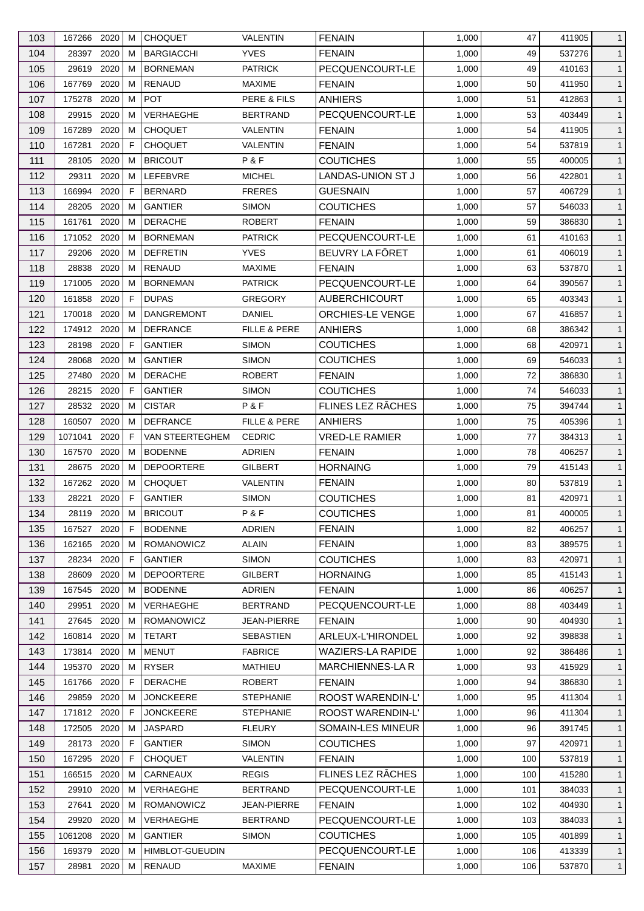| 103 | 167266                | 2020 | м            | <b>CHOQUET</b>         | VALENTIN           | <b>FENAIN</b>            | 1,000 | 47  | 411905 | $\mathbf{1}$ |
|-----|-----------------------|------|--------------|------------------------|--------------------|--------------------------|-------|-----|--------|--------------|
| 104 | 28397                 | 2020 | м            | <b>BARGIACCHI</b>      | <b>YVES</b>        | <b>FENAIN</b>            | 1,000 | 49  | 537276 | $\mathbf{1}$ |
| 105 | 29619                 | 2020 | м            | <b>BORNEMAN</b>        | <b>PATRICK</b>     | PECQUENCOURT-LE          | 1,000 | 49  | 410163 | $\mathbf{1}$ |
| 106 | 167769                | 2020 | м            | <b>RENAUD</b>          | <b>MAXIME</b>      | <b>FENAIN</b>            | 1,000 | 50  | 411950 | $\mathbf{1}$ |
| 107 | 175278                | 2020 | м            | <b>POT</b>             | PERE & FILS        | <b>ANHIERS</b>           | 1,000 | 51  | 412863 | $\mathbf{1}$ |
| 108 | 29915                 | 2020 | M            | <b>VERHAEGHE</b>       | <b>BERTRAND</b>    | PECQUENCOURT-LE          | 1,000 | 53  | 403449 | $\mathbf{1}$ |
| 109 | 167289                | 2020 | м            | <b>CHOQUET</b>         | VALENTIN           | <b>FENAIN</b>            | 1,000 | 54  | 411905 | $\mathbf{1}$ |
| 110 | 167281                | 2020 | F            | <b>CHOQUET</b>         | VALENTIN           | <b>FENAIN</b>            | 1,000 | 54  | 537819 | $\mathbf{1}$ |
| 111 | 28105                 | 2020 | м            | <b>BRICOUT</b>         | P&F                | <b>COUTICHES</b>         | 1,000 | 55  | 400005 | $\mathbf{1}$ |
| 112 | 29311                 | 2020 | м            | LEFEBVRE               | <b>MICHEL</b>      | <b>LANDAS-UNION ST J</b> | 1,000 | 56  | 422801 | $\mathbf{1}$ |
| 113 | 166994                | 2020 | F            | <b>BERNARD</b>         | <b>FRERES</b>      | <b>GUESNAIN</b>          | 1,000 | 57  | 406729 | $\mathbf{1}$ |
| 114 | 28205                 | 2020 | м            | <b>GANTIER</b>         | <b>SIMON</b>       | <b>COUTICHES</b>         | 1,000 | 57  | 546033 | $\mathbf{1}$ |
| 115 | 161761                | 2020 | м            | <b>DERACHE</b>         | <b>ROBERT</b>      | <b>FENAIN</b>            | 1,000 | 59  | 386830 | $\mathbf{1}$ |
| 116 | 171052                | 2020 | м            | <b>BORNEMAN</b>        | <b>PATRICK</b>     | PECQUENCOURT-LE          | 1,000 | 61  | 410163 | $\mathbf{1}$ |
| 117 | 29206                 | 2020 | м            | <b>DEFRETIN</b>        | <b>YVES</b>        | BEUVRY LA FÔRET          | 1,000 | 61  | 406019 | $\mathbf{1}$ |
|     | 28838                 | 2020 |              | <b>RENAUD</b>          |                    |                          |       |     |        |              |
| 118 |                       |      | м            |                        | <b>MAXIME</b>      | <b>FENAIN</b>            | 1,000 | 63  | 537870 | $\mathbf{1}$ |
| 119 | 171005                | 2020 | м            | <b>BORNEMAN</b>        | <b>PATRICK</b>     | PECQUENCOURT-LE          | 1,000 | 64  | 390567 | $\mathbf{1}$ |
| 120 | 161858                | 2020 | F.           | <b>DUPAS</b>           | <b>GREGORY</b>     | <b>AUBERCHICOURT</b>     | 1,000 | 65  | 403343 | $\mathbf{1}$ |
| 121 | 170018 2020           |      | м            | <b>DANGREMONT</b>      | DANIEL             | ORCHIES-LE VENGE         | 1,000 | 67  | 416857 | $\mathbf{1}$ |
| 122 | 174912 2020           |      | M            | <b>DEFRANCE</b>        | FILLE & PERE       | <b>ANHIERS</b>           | 1,000 | 68  | 386342 | $\mathbf{1}$ |
| 123 | 28198                 | 2020 | F            | <b>GANTIER</b>         | <b>SIMON</b>       | <b>COUTICHES</b>         | 1,000 | 68  | 420971 | $\mathbf{1}$ |
| 124 | 28068                 | 2020 | м            | <b>GANTIER</b>         | <b>SIMON</b>       | <b>COUTICHES</b>         | 1,000 | 69  | 546033 | $\mathbf{1}$ |
| 125 | 27480                 | 2020 | м            | <b>DERACHE</b>         | <b>ROBERT</b>      | <b>FENAIN</b>            | 1,000 | 72  | 386830 | $\mathbf{1}$ |
| 126 | 28215                 | 2020 | F            | <b>GANTIER</b>         | <b>SIMON</b>       | <b>COUTICHES</b>         | 1,000 | 74  | 546033 | $\mathbf{1}$ |
| 127 | 28532                 | 2020 | м            | <b>CISTAR</b>          | P&F                | FLINES LEZ RÂCHES        | 1,000 | 75  | 394744 | $\mathbf{1}$ |
| 128 | 160507 2020           |      | м            | <b>DEFRANCE</b>        | FILLE & PERE       | <b>ANHIERS</b>           | 1,000 | 75  | 405396 | $\mathbf{1}$ |
| 129 | 1071041               | 2020 | F            | VAN STEERTEGHEM        | <b>CEDRIC</b>      | <b>VRED-LE RAMIER</b>    | 1,000 | 77  | 384313 | $\mathbf{1}$ |
| 130 | 167570                | 2020 | м            | <b>BODENNE</b>         | ADRIEN             | <b>FENAIN</b>            | 1,000 | 78  | 406257 | $\mathbf{1}$ |
| 131 | 28675                 | 2020 | м            | <b>DEPOORTERE</b>      | <b>GILBERT</b>     | <b>HORNAING</b>          | 1,000 | 79  | 415143 | $\mathbf{1}$ |
| 132 | 167262                | 2020 | м            | <b>CHOQUET</b>         | VALENTIN           | <b>FENAIN</b>            | 1,000 | 80  | 537819 | $\mathbf{1}$ |
| 133 | 28221                 | 2020 | $\mathsf{F}$ | <b>GANTIER</b>         | <b>SIMON</b>       | <b>COUTICHES</b>         | 1,000 | 81  | 420971 | $\mathbf{1}$ |
| 134 | 28119                 | 2020 | M            | <b>BRICOUT</b>         | P&F                | <b>COUTICHES</b>         | 1,000 | 81  | 400005 | $\mathbf{1}$ |
| 135 | 167527 2020           |      | F            | <b>BODENNE</b>         | <b>ADRIEN</b>      | <b>FENAIN</b>            | 1,000 | 82  | 406257 | $\mathbf{1}$ |
| 136 | 162165 2020           |      | м            | <b>ROMANOWICZ</b>      | ALAIN              | <b>FENAIN</b>            | 1,000 | 83  | 389575 | $\mathbf{1}$ |
| 137 | 28234                 | 2020 | F            | <b>GANTIER</b>         | <b>SIMON</b>       | <b>COUTICHES</b>         | 1,000 | 83  | 420971 | $\mathbf{1}$ |
| 138 | 28609                 | 2020 | м            | <b>DEPOORTERE</b>      | GILBERT            | <b>HORNAING</b>          | 1,000 | 85  | 415143 | $\mathbf{1}$ |
| 139 | 167545 2020           |      | м            | <b>BODENNE</b>         | <b>ADRIEN</b>      | <b>FENAIN</b>            | 1,000 | 86  | 406257 | $\mathbf{1}$ |
| 140 | 29951                 | 2020 | м            | VERHAEGHE              | <b>BERTRAND</b>    | PECQUENCOURT-LE          | 1,000 | 88  | 403449 | $\mathbf{1}$ |
| 141 | 27645                 | 2020 | м            | <b>ROMANOWICZ</b>      | <b>JEAN-PIERRE</b> | <b>FENAIN</b>            | 1,000 | 90  | 404930 | $\mathbf{1}$ |
| 142 | 160814                | 2020 | м            | <b>TETART</b>          | <b>SEBASTIEN</b>   | ARLEUX-L'HIRONDEL        | 1,000 | 92  | 398838 | $\mathbf{1}$ |
| 143 | 173814 2020           |      | м            | <b>MENUT</b>           | <b>FABRICE</b>     | WAZIERS-LA RAPIDE        | 1,000 | 92  | 386486 | $\mathbf{1}$ |
| 144 | 195370                | 2020 | м            | <b>RYSER</b>           | <b>MATHIEU</b>     | <b>MARCHIENNES-LA R</b>  | 1,000 | 93  | 415929 | $\mathbf{1}$ |
| 145 | 161766                | 2020 | F            | <b>DERACHE</b>         | <b>ROBERT</b>      | <b>FENAIN</b>            | 1,000 | 94  | 386830 | $\mathbf{1}$ |
| 146 | 29859                 | 2020 | м            | <b>JONCKEERE</b>       | <b>STEPHANIE</b>   | ROOST WARENDIN-L'        | 1,000 | 95  | 411304 | $\mathbf{1}$ |
| 147 |                       |      | F            | <b>JONCKEERE</b>       | <b>STEPHANIE</b>   | ROOST WARENDIN-L'        | 1,000 | 96  | 411304 | $\mathbf{1}$ |
| 148 | 171812 2020<br>172505 | 2020 | м            | <b>JASPARD</b>         | <b>FLEURY</b>      | SOMAIN-LES MINEUR        | 1,000 | 96  | 391745 | $\mathbf{1}$ |
|     |                       |      |              |                        |                    |                          |       | 97  |        |              |
| 149 | 28173                 | 2020 | F            | <b>GANTIER</b>         | <b>SIMON</b>       | <b>COUTICHES</b>         | 1,000 |     | 420971 | $\mathbf{1}$ |
| 150 | 167295 2020           |      | F            | <b>CHOQUET</b>         | VALENTIN           | <b>FENAIN</b>            | 1,000 | 100 | 537819 | $\mathbf{1}$ |
| 151 | 166515 2020           |      | м            | CARNEAUX               | <b>REGIS</b>       | FLINES LEZ RÂCHES        | 1,000 | 100 | 415280 | $\mathbf{1}$ |
| 152 | 29910                 | 2020 | M            | <b>VERHAEGHE</b>       | <b>BERTRAND</b>    | PECQUENCOURT-LE          | 1,000 | 101 | 384033 | $\mathbf{1}$ |
| 153 | 27641                 | 2020 | м            | <b>ROMANOWICZ</b>      | JEAN-PIERRE        | <b>FENAIN</b>            | 1,000 | 102 | 404930 | $\mathbf{1}$ |
| 154 | 29920                 | 2020 | м            | <b>VERHAEGHE</b>       | <b>BERTRAND</b>    | PECQUENCOURT-LE          | 1,000 | 103 | 384033 | $\mathbf{1}$ |
| 155 | 1061208 2020          |      | M            | <b>GANTIER</b>         | <b>SIMON</b>       | <b>COUTICHES</b>         | 1,000 | 105 | 401899 | $\mathbf{1}$ |
| 156 | 169379                | 2020 | м            | <b>HIMBLOT-GUEUDIN</b> |                    | PECQUENCOURT-LE          | 1,000 | 106 | 413339 | $\mathbf{1}$ |
| 157 | 28981 2020            |      | М            | RENAUD                 | <b>MAXIME</b>      | <b>FENAIN</b>            | 1,000 | 106 | 537870 | $\mathbf{1}$ |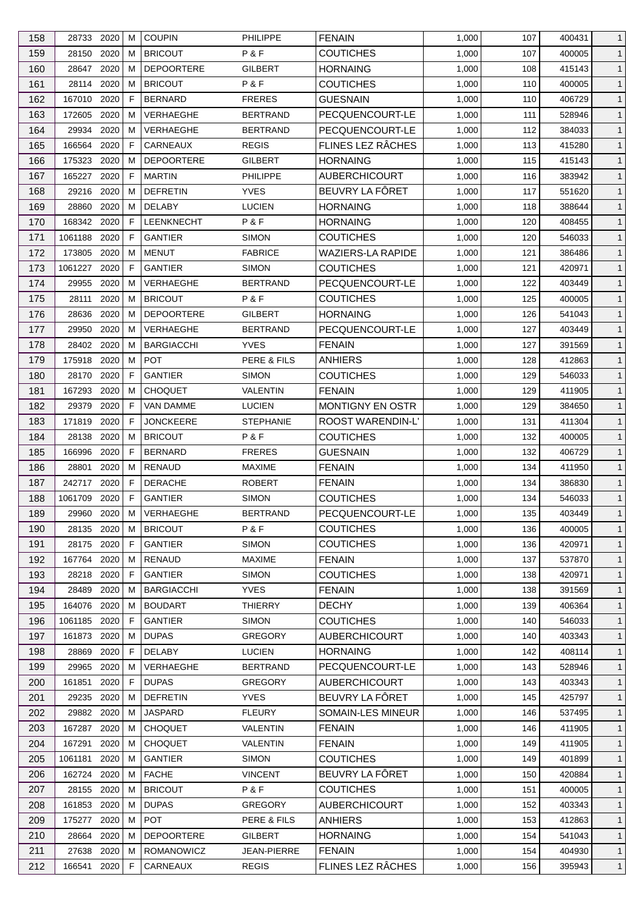| 158        | 28733 2020               |              | м      | <b>COUPIN</b>                       | <b>PHILIPPE</b>             | <b>FENAIN</b>                        | 1,000          | 107        | 400431           | $\mathbf{1}$                 |
|------------|--------------------------|--------------|--------|-------------------------------------|-----------------------------|--------------------------------------|----------------|------------|------------------|------------------------------|
| 159        | 28150                    | 2020         | м      | <b>BRICOUT</b>                      | P&F                         | <b>COUTICHES</b>                     | 1,000          | 107        | 400005           | $\mathbf{1}$                 |
| 160        | 28647                    | 2020         | M      | <b>DEPOORTERE</b>                   | <b>GILBERT</b>              | <b>HORNAING</b>                      | 1,000          | 108        | 415143           | $\mathbf{1}$                 |
| 161        | 28114                    | 2020         | м      | <b>BRICOUT</b>                      | P&F                         | <b>COUTICHES</b>                     | 1,000          | 110        | 400005           | $\mathbf{1}$                 |
| 162        | 167010                   | 2020         | F      | <b>BERNARD</b>                      | <b>FRERES</b>               | <b>GUESNAIN</b>                      | 1,000          | 110        | 406729           | $\mathbf{1}$                 |
| 163        | 172605                   | 2020         | м      | <b>VERHAEGHE</b>                    | <b>BERTRAND</b>             | PECQUENCOURT-LE                      | 1,000          | 111        | 528946           | $\mathbf{1}$                 |
| 164        | 29934                    | 2020         | м      | <b>VERHAEGHE</b>                    | <b>BERTRAND</b>             | PECQUENCOURT-LE                      | 1,000          | 112        | 384033           | $\mathbf{1}$                 |
| 165        | 166564                   | 2020         | F.     | CARNEAUX                            | <b>REGIS</b>                | FLINES LEZ RÂCHES                    | 1,000          | 113        | 415280           | $\mathbf{1}$                 |
| 166        | 175323                   | 2020         | м      | <b>DEPOORTERE</b>                   | <b>GILBERT</b>              | <b>HORNAING</b>                      | 1,000          | 115        | 415143           | $\mathbf{1}$                 |
| 167        | 165227                   | 2020         | F      | <b>MARTIN</b>                       | <b>PHILIPPE</b>             | <b>AUBERCHICOURT</b>                 | 1,000          | 116        | 383942           | $\mathbf{1}$                 |
| 168        | 29216                    | 2020         | м      | <b>DEFRETIN</b>                     | <b>YVES</b>                 | BEUVRY LA FÔRET                      | 1,000          | 117        | 551620           | $\mathbf{1}$                 |
| 169        | 28860                    | 2020         | м      | <b>DELABY</b>                       | <b>LUCIEN</b>               | <b>HORNAING</b>                      | 1,000          | 118        | 388644           | $\mathbf{1}$                 |
| 170        | 168342                   | 2020         | F      | LEENKNECHT                          | P&F                         | <b>HORNAING</b>                      | 1,000          | 120        | 408455           | $\mathbf{1}$                 |
| 171        | 1061188                  | 2020         | F      | <b>GANTIER</b>                      | <b>SIMON</b>                | <b>COUTICHES</b>                     | 1,000          | 120        | 546033           | $\mathbf{1}$                 |
| 172        | 173805                   | 2020         | м      | <b>MENUT</b>                        | <b>FABRICE</b>              | <b>WAZIERS-LA RAPIDE</b>             | 1,000          | 121        | 386486           | $\mathbf{1}$                 |
| 173        | 1061227                  | 2020         | F      | <b>GANTIER</b>                      | <b>SIMON</b>                | <b>COUTICHES</b>                     | 1,000          | 121        | 420971           | $\mathbf{1}$                 |
| 174        | 29955                    | 2020         | м      | VERHAEGHE                           | <b>BERTRAND</b>             | PECQUENCOURT-LE                      | 1,000          | 122        | 403449           | $\mathbf{1}$                 |
| 175        | 28111                    | 2020         | м      | <b>BRICOUT</b>                      | P & F                       | <b>COUTICHES</b>                     | 1,000          | 125        | 400005           | $\mathbf{1}$                 |
| 176        | 28636                    | 2020         | м      | <b>DEPOORTERE</b>                   | <b>GILBERT</b>              | <b>HORNAING</b>                      | 1,000          | 126        | 541043           | $\mathbf{1}$                 |
| 177        | 29950                    | 2020         | м      | VERHAEGHE                           | <b>BERTRAND</b>             | PECQUENCOURT-LE                      | 1,000          | 127        | 403449           | $\mathbf{1}$                 |
| 178        | 28402                    | 2020         | м      | <b>BARGIACCHI</b>                   | <b>YVES</b>                 | <b>FENAIN</b>                        | 1,000          | 127        | 391569           | $\mathbf{1}$                 |
| 179        | 175918                   | 2020         | м      | <b>POT</b>                          | PERE & FILS                 | <b>ANHIERS</b>                       | 1,000          | 128        | 412863           | $\mathbf{1}$                 |
| 180        | 28170                    | 2020         | F      | <b>GANTIER</b>                      | <b>SIMON</b>                | <b>COUTICHES</b>                     | 1,000          | 129        | 546033           | $\mathbf{1}$                 |
| 181        | 167293                   | 2020         | м      | <b>CHOQUET</b>                      | <b>VALENTIN</b>             | <b>FENAIN</b>                        | 1,000          | 129        | 411905           | $\mathbf{1}$                 |
| 182        | 29379                    | 2020         | F      | VAN DAMME                           | <b>LUCIEN</b>               | <b>MONTIGNY EN OSTR</b>              | 1,000          | 129        | 384650           | $\mathbf{1}$                 |
| 183        | 171819                   | 2020         | F      | JONCKEERE                           | <b>STEPHANIE</b>            | <b>ROOST WARENDIN-L'</b>             | 1,000          | 131        | 411304           | $\mathbf{1}$                 |
| 184        | 28138                    | 2020         | м      | <b>BRICOUT</b>                      | P&F                         | <b>COUTICHES</b>                     | 1,000          | 132        | 400005           | $\mathbf{1}$                 |
| 185        | 166996                   | 2020         | F      | <b>BERNARD</b>                      | <b>FRERES</b>               | <b>GUESNAIN</b>                      | 1,000          | 132        | 406729           | $\mathbf{1}$                 |
| 186        | 28801                    | 2020         | м      | RENAUD                              | <b>MAXIME</b>               | <b>FENAIN</b>                        | 1,000          | 134        | 411950           | $\mathbf{1}$                 |
| 187        | 242717                   | 2020         | F.     | <b>DERACHE</b>                      | <b>ROBERT</b>               | <b>FENAIN</b>                        | 1,000          | 134        | 386830           | $\mathbf{1}$                 |
| 188        | 1061709                  | 2020         | F      | <b>GANTIER</b>                      | <b>SIMON</b>                | <b>COUTICHES</b>                     | 1,000          | 134        | 546033           | $\mathbf{1}$                 |
| 189        | 29960                    | $2020$ M     |        | VERHAEGHE                           | <b>BERTRAND</b>             | PECQUENCOURT-LE                      | 1,000          | 135        | 403449           | $\mathbf{1}$                 |
|            |                          |              |        |                                     | P&F                         |                                      |                |            |                  |                              |
| 190<br>191 | 28135 2020<br>28175 2020 |              | м<br>F | <b>BRICOUT</b><br><b>GANTIER</b>    | <b>SIMON</b>                | <b>COUTICHES</b><br><b>COUTICHES</b> | 1,000<br>1,000 | 136<br>136 | 400005<br>420971 | $\mathbf{1}$<br>$\mathbf{1}$ |
| 192        | 167764                   | 2020         | м      | RENAUD                              | <b>MAXIME</b>               | <b>FENAIN</b>                        | 1,000          | 137        | 537870           | $\mathbf{1}$                 |
|            |                          |              | F      | <b>GANTIER</b>                      |                             | <b>COUTICHES</b>                     |                |            |                  |                              |
| 193        | 28218 2020               | 2020         |        |                                     | <b>SIMON</b><br><b>YVES</b> |                                      | 1,000          | 138        | 420971           | $\mathbf{1}$                 |
| 194<br>195 | 28489                    |              | м      | <b>BARGIACCHI</b><br><b>BOUDART</b> | <b>THIERRY</b>              | <b>FENAIN</b><br><b>DECHY</b>        | 1,000          | 138        | 391569           | $\mathbf{1}$                 |
|            | 164076 2020              |              | м      | <b>GANTIER</b>                      |                             |                                      | 1,000          | 139        | 406364           | $\mathbf{1}$                 |
| 196        | 1061185 2020             |              | F      |                                     | <b>SIMON</b>                | <b>COUTICHES</b>                     | 1,000          | 140        | 546033           | $\mathbf{1}$                 |
| 197        | 161873                   | 2020         | м      | <b>DUPAS</b>                        | <b>GREGORY</b>              | AUBERCHICOURT                        | 1,000          | 140        | 403343           | $\mathbf{1}$                 |
| 198        | 28869                    | 2020         | F.     | <b>DELABY</b>                       | <b>LUCIEN</b>               | <b>HORNAING</b>                      | 1,000          | 142        | 408114           | $\mathbf{1}$                 |
| 199        | 29965                    | 2020<br>2020 | м      | <b>VERHAEGHE</b><br><b>DUPAS</b>    | <b>BERTRAND</b>             | PECQUENCOURT-LE                      | 1,000          | 143        | 528946           | $\mathbf{1}$                 |
| 200        | 161851                   |              | F      |                                     | <b>GREGORY</b>              | <b>AUBERCHICOURT</b>                 | 1,000          | 143        | 403343           | $\mathbf{1}$                 |
| 201        | 29235                    | 2020         | м      | <b>DEFRETIN</b>                     | <b>YVES</b>                 | BEUVRY LA FÔRET                      | 1,000          | 145        | 425797           | $\mathbf{1}$                 |
| 202        | 29882                    | 2020         | м      | <b>JASPARD</b>                      | <b>FLEURY</b>               | SOMAIN-LES MINEUR                    | 1,000          | 146        | 537495           | $\mathbf{1}$                 |
| 203        | 167287                   | 2020         | м      | <b>CHOQUET</b>                      | <b>VALENTIN</b>             | <b>FENAIN</b>                        | 1,000          | 146        | 411905           | $\mathbf{1}$                 |
| 204        | 167291                   | 2020         | M      | <b>CHOQUET</b>                      | VALENTIN                    | <b>FENAIN</b>                        | 1,000          | 149        | 411905           | $\mathbf{1}$                 |
| 205        | 1061181                  | 2020         | м      | <b>GANTIER</b>                      | <b>SIMON</b>                | <b>COUTICHES</b>                     | 1,000          | 149        | 401899           | $\mathbf{1}$                 |
| 206        | 162724 2020              |              | M      | <b>FACHE</b>                        | <b>VINCENT</b>              | BEUVRY LA FÔRET                      | 1,000          | 150        | 420884           | $\mathbf{1}$                 |
| 207        | 28155                    | 2020         | м      | <b>BRICOUT</b>                      | P&F                         | <b>COUTICHES</b>                     | 1,000          | 151        | 400005           | $\mathbf{1}$                 |
| 208        | 161853                   | 2020         | м      | <b>DUPAS</b>                        | <b>GREGORY</b>              | AUBERCHICOURT                        | 1,000          | 152        | 403343           | $\mathbf{1}$                 |
| 209        | 175277                   | 2020         | м      | <b>POT</b>                          | PERE & FILS                 | <b>ANHIERS</b>                       | 1,000          | 153        | 412863           | $\mathbf{1}$                 |
| 210        | 28664 2020               |              | м      | <b>DEPOORTERE</b>                   | GILBERT                     | <b>HORNAING</b>                      | 1,000          | 154        | 541043           | $\mathbf{1}$                 |
| 211        | 27638                    | 2020         | м      | <b>ROMANOWICZ</b>                   | <b>JEAN-PIERRE</b>          | <b>FENAIN</b>                        | 1,000          | 154        | 404930           | $\mathbf{1}$                 |
| 212        | 166541 2020              |              | F      | CARNEAUX                            | <b>REGIS</b>                | FLINES LEZ RÂCHES                    | 1,000          | 156        | 395943           | $\mathbf{1}$                 |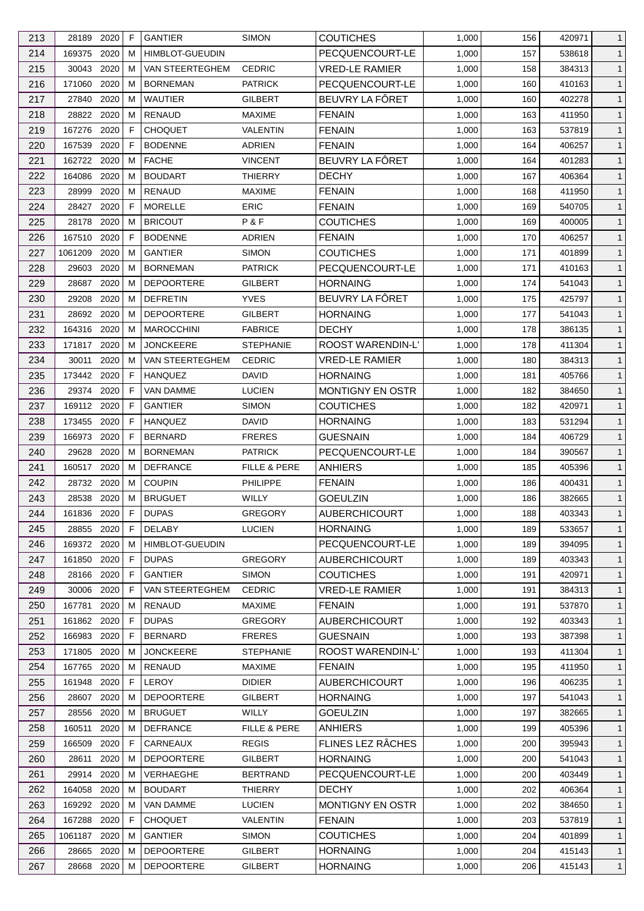| 213 | 28189        | 2020 | F  | <b>GANTIER</b>         | <b>SIMON</b>     | COUTICHES                | 1,000 | 156 | 420971 | $\mathbf{1}$ |
|-----|--------------|------|----|------------------------|------------------|--------------------------|-------|-----|--------|--------------|
| 214 | 169375       | 2020 | м  | <b>HIMBLOT-GUEUDIN</b> |                  | PECQUENCOURT-LE          | 1,000 | 157 | 538618 | $\mathbf{1}$ |
| 215 | 30043        | 2020 | м  | VAN STEERTEGHEM        | <b>CEDRIC</b>    | <b>VRED-LE RAMIER</b>    | 1,000 | 158 | 384313 | $\mathbf{1}$ |
| 216 | 171060       | 2020 | м  | <b>BORNEMAN</b>        | <b>PATRICK</b>   | PECQUENCOURT-LE          | 1,000 | 160 | 410163 | $\mathbf{1}$ |
| 217 | 27840        | 2020 | м  | <b>WAUTIER</b>         | <b>GILBERT</b>   | BEUVRY LA FÔRET          | 1,000 | 160 | 402278 | $\mathbf{1}$ |
| 218 | 28822        | 2020 | м  | <b>RENAUD</b>          | <b>MAXIME</b>    | <b>FENAIN</b>            | 1,000 | 163 | 411950 | $\mathbf{1}$ |
| 219 | 167276       | 2020 | F  | <b>CHOQUET</b>         | VALENTIN         | <b>FENAIN</b>            | 1,000 | 163 | 537819 | $\mathbf{1}$ |
| 220 | 167539       | 2020 | F  | <b>BODENNE</b>         | <b>ADRIEN</b>    | <b>FENAIN</b>            | 1,000 | 164 | 406257 | $\mathbf{1}$ |
| 221 | 162722 2020  |      | м  | <b>FACHE</b>           | <b>VINCENT</b>   | BEUVRY LA FÔRET          | 1,000 | 164 | 401283 | $\mathbf{1}$ |
| 222 | 164086       | 2020 | м  | <b>BOUDART</b>         | THIERRY          | <b>DECHY</b>             | 1,000 | 167 | 406364 | $\mathbf{1}$ |
| 223 | 28999        | 2020 | м  | <b>RENAUD</b>          | <b>MAXIME</b>    | <b>FENAIN</b>            | 1,000 | 168 | 411950 | $\mathbf{1}$ |
| 224 | 28427 2020   |      | F  | <b>MORELLE</b>         | <b>ERIC</b>      | <b>FENAIN</b>            | 1,000 | 169 | 540705 | $\mathbf{1}$ |
| 225 | 28178        | 2020 | м  | <b>BRICOUT</b>         | P&F              | <b>COUTICHES</b>         | 1,000 | 169 | 400005 | $\mathbf{1}$ |
| 226 | 167510       | 2020 | F  | <b>BODENNE</b>         | ADRIEN           | <b>FENAIN</b>            | 1,000 | 170 | 406257 | $\mathbf{1}$ |
| 227 | 1061209      | 2020 | м  | <b>GANTIER</b>         | <b>SIMON</b>     | <b>COUTICHES</b>         | 1,000 | 171 | 401899 | $\mathbf{1}$ |
| 228 | 29603        | 2020 | M  | <b>BORNEMAN</b>        | <b>PATRICK</b>   | PECQUENCOURT-LE          | 1,000 | 171 | 410163 | $\mathbf{1}$ |
| 229 | 28687        | 2020 | м  | <b>DEPOORTERE</b>      | <b>GILBERT</b>   | <b>HORNAING</b>          | 1,000 | 174 | 541043 | $\mathbf{1}$ |
| 230 | 29208        | 2020 | м  | <b>DEFRETIN</b>        | <b>YVES</b>      | BEUVRY LA FÔRET          | 1,000 | 175 | 425797 | $\mathbf{1}$ |
| 231 | 28692        | 2020 | м  | <b>DEPOORTERE</b>      | GILBERT          | <b>HORNAING</b>          | 1,000 | 177 | 541043 | $\mathbf{1}$ |
| 232 | 164316       | 2020 | M  | <b>MAROCCHINI</b>      | <b>FABRICE</b>   | <b>DECHY</b>             | 1,000 | 178 | 386135 | $\mathbf{1}$ |
| 233 | 171817       | 2020 | м  | <b>JONCKEERE</b>       | <b>STEPHANIE</b> | <b>ROOST WARENDIN-L'</b> | 1,000 | 178 | 411304 | $\mathbf{1}$ |
| 234 | 30011        | 2020 | м  | VAN STEERTEGHEM        | <b>CEDRIC</b>    | <b>VRED-LE RAMIER</b>    | 1,000 | 180 | 384313 | $\mathbf{1}$ |
| 235 | 173442 2020  |      | F  | <b>HANQUEZ</b>         | <b>DAVID</b>     | <b>HORNAING</b>          | 1,000 | 181 | 405766 | $\mathbf{1}$ |
| 236 | 29374        | 2020 | F  | <b>VAN DAMME</b>       | <b>LUCIEN</b>    | MONTIGNY EN OSTR         | 1,000 | 182 | 384650 | $\mathbf{1}$ |
|     |              |      |    |                        |                  |                          |       |     |        |              |
| 237 | 169112       | 2020 | F  | <b>GANTIER</b>         | <b>SIMON</b>     | <b>COUTICHES</b>         | 1,000 | 182 | 420971 | $\mathbf{1}$ |
| 238 | 173455       | 2020 | F  | <b>HANQUEZ</b>         | DAVID            | <b>HORNAING</b>          | 1,000 | 183 | 531294 | $\mathbf{1}$ |
| 239 | 166973       | 2020 | F  | <b>BERNARD</b>         | <b>FRERES</b>    | <b>GUESNAIN</b>          | 1,000 | 184 | 406729 | $\mathbf{1}$ |
| 240 | 29628        | 2020 | м  | <b>BORNEMAN</b>        | <b>PATRICK</b>   | PECQUENCOURT-LE          | 1,000 | 184 | 390567 | $\mathbf{1}$ |
| 241 | 160517       | 2020 | м  | <b>DEFRANCE</b>        | FILLE & PERE     | <b>ANHIERS</b>           | 1,000 | 185 | 405396 | $\mathbf{1}$ |
| 242 | 28732        | 2020 | м  | <b>COUPIN</b>          | <b>PHILIPPE</b>  | <b>FENAIN</b>            | 1,000 | 186 | 400431 | $\mathbf{1}$ |
| 243 | 28538        | 2020 | M  | <b>BRUGUET</b>         | WILLY            | <b>GOEULZIN</b>          | 1,000 | 186 | 382665 | $\mathbf{1}$ |
| 244 | 161836       | 2020 | F  | <b>DUPAS</b>           | GREGORY          | <b>AUBERCHICOURT</b>     | 1,000 | 188 | 403343 | $\mathbf{1}$ |
| 245 | 28855 2020   |      | F  | <b>DELABY</b>          | <b>LUCIEN</b>    | <b>HORNAING</b>          | 1,000 | 189 | 533657 | $\mathbf{1}$ |
| 246 | 169372 2020  |      | м  | <b>HIMBLOT-GUEUDIN</b> |                  | PECQUENCOURT-LE          | 1,000 | 189 | 394095 | $\mathbf{1}$ |
| 247 | 161850       | 2020 | F  | <b>DUPAS</b>           | <b>GREGORY</b>   | <b>AUBERCHICOURT</b>     | 1,000 | 189 | 403343 | $\mathbf{1}$ |
| 248 | 28166        | 2020 | F  | <b>GANTIER</b>         | <b>SIMON</b>     | <b>COUTICHES</b>         | 1,000 | 191 | 420971 | $\mathbf{1}$ |
| 249 | 30006 2020   |      | F  | VAN STEERTEGHEM        | <b>CEDRIC</b>    | <b>VRED-LE RAMIER</b>    | 1,000 | 191 | 384313 | $\mathbf{1}$ |
| 250 | 167781       | 2020 | м  | RENAUD                 | <b>MAXIME</b>    | <b>FENAIN</b>            | 1,000 | 191 | 537870 | $\mathbf{1}$ |
| 251 | 161862 2020  |      | F  | <b>DUPAS</b>           | <b>GREGORY</b>   | <b>AUBERCHICOURT</b>     | 1,000 | 192 | 403343 | $\mathbf{1}$ |
| 252 | 166983       | 2020 | F  | <b>BERNARD</b>         | <b>FRERES</b>    | <b>GUESNAIN</b>          | 1,000 | 193 | 387398 | $\mathbf{1}$ |
| 253 | 171805       | 2020 | м  | <b>JONCKEERE</b>       | <b>STEPHANIE</b> | <b>ROOST WARENDIN-L'</b> | 1,000 | 193 | 411304 | $\mathbf{1}$ |
| 254 | 167765       | 2020 | м  | RENAUD                 | <b>MAXIME</b>    | <b>FENAIN</b>            | 1,000 | 195 | 411950 | $\mathbf{1}$ |
| 255 | 161948       | 2020 | F  | <b>LEROY</b>           | <b>DIDIER</b>    | <b>AUBERCHICOURT</b>     | 1,000 | 196 | 406235 | $\mathbf{1}$ |
| 256 | 28607        | 2020 | м  | <b>DEPOORTERE</b>      | <b>GILBERT</b>   | <b>HORNAING</b>          | 1,000 | 197 | 541043 | $\mathbf{1}$ |
| 257 | 28556        | 2020 | м  | <b>BRUGUET</b>         | WILLY            | <b>GOEULZIN</b>          | 1,000 | 197 | 382665 | $\mathbf{1}$ |
| 258 | 160511       | 2020 | м  | <b>DEFRANCE</b>        | FILLE & PERE     | <b>ANHIERS</b>           | 1,000 | 199 | 405396 | $\mathbf{1}$ |
| 259 | 166509       | 2020 | F  | CARNEAUX               | <b>REGIS</b>     | FLINES LEZ RÂCHES        | 1,000 | 200 | 395943 | $\mathbf{1}$ |
| 260 | 28611        | 2020 | м  | <b>DEPOORTERE</b>      | <b>GILBERT</b>   | <b>HORNAING</b>          | 1,000 | 200 | 541043 | $\mathbf{1}$ |
| 261 | 29914        | 2020 | м  | VERHAEGHE              | <b>BERTRAND</b>  | PECQUENCOURT-LE          | 1,000 | 200 | 403449 | $\mathbf{1}$ |
| 262 | 164058       | 2020 | M  | <b>BOUDART</b>         | <b>THIERRY</b>   | <b>DECHY</b>             | 1,000 | 202 | 406364 | $\mathbf{1}$ |
| 263 | 169292 2020  |      | м  | VAN DAMME              | <b>LUCIEN</b>    | <b>MONTIGNY EN OSTR</b>  | 1,000 | 202 | 384650 | $\mathbf{1}$ |
| 264 | 167288       | 2020 | F. | <b>CHOQUET</b>         | VALENTIN         | <b>FENAIN</b>            | 1,000 | 203 | 537819 | $\mathbf{1}$ |
| 265 | 1061187 2020 |      | M  | <b>GANTIER</b>         | <b>SIMON</b>     | <b>COUTICHES</b>         | 1,000 | 204 | 401899 | $\mathbf{1}$ |
| 266 | 28665        | 2020 | м  | <b>DEPOORTERE</b>      | GILBERT          | <b>HORNAING</b>          | 1,000 | 204 | 415143 | $\mathbf{1}$ |
| 267 | 28668 2020   |      | м  | <b>DEPOORTERE</b>      | GILBERT          | <b>HORNAING</b>          | 1,000 | 206 | 415143 | $\mathbf{1}$ |
|     |              |      |    |                        |                  |                          |       |     |        |              |